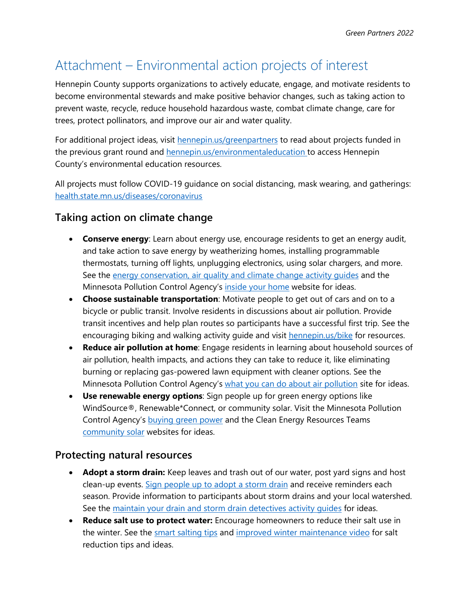## Attachment – Environmental action projects of interest

Hennepin County supports organizations to actively educate, engage, and motivate residents to become environmental stewards and make positive behavior changes, such as taking action to prevent waste, recycle, reduce household hazardous waste, combat climate change, care for trees, protect pollinators, and improve our air and water quality.

For additional project ideas, visit [hennepin.us/greenpartners](https://www.hennepin.us/greenpartners) to read about projects funded in the previous grant round and **hennepin.us/environmentaleducation** to access Hennepin County's environmental education resources.

All projects must follow COVID-19 guidance on social distancing, mask wearing, and gatherings: [health.state.mn.us/diseases/coronavirus](https://www.health.state.mn.us/diseases/coronavirus/)

## **Taking action on climate change**

- **Conserve energy**: Learn about energy use, encourage residents to get an energy audit, and take action to save energy by weatherizing homes, installing programmable thermostats, turning off lights, unplugging electronics, using solar chargers, and more. See the [energy conservation, air quality and climate change activity guides](https://www.hennepin.us/-/media/hennepinus/business/work-with-hennepin-county/environmental-education/air-energy-climate-change.pdf) and the Minnesota Pollution Control Agency's [inside your home](https://www.pca.state.mn.us/living-green/inside-your-home) website for ideas.
- **Choose sustainable transportation**: Motivate people to get out of cars and on to a bicycle or public transit. Involve residents in discussions about air pollution. Provide transit incentives and help plan routes so participants have a successful first trip. See the encouraging biking and walking activity guide and visit [hennepin.us/bike](https://www.hennepin.us/bike) for resources.
- **Reduce air pollution at home**: Engage residents in learning about household sources of air pollution, health impacts, and actions they can take to reduce it, like eliminating burning or replacing gas-powered lawn equipment with cleaner options. See the Minnesota Pollution Control Agency's [what you can do about air pollution](https://www.pca.state.mn.us/air/what-you-can-do-about-air-pollution) site for ideas.
- **Use renewable energy options**: Sign people up for green energy options like WindSource®, Renewable\*Connect, or community solar. Visit the Minnesota Pollution Control Agency's [buying green power](https://www.pca.state.mn.us/living-green/buy-green-power) and the Clean Energy Resources Teams [community solar](https://www.cleanenergyresourceteams.org/solargardens) websites for ideas.

## **Protecting natural resources**

- **Adopt a storm drain:** Keep leaves and trash out of our water, post yard signs and host clean-up events. [Sign people up to adopt a storm drain](https://adopt-a-drain.org/) and receive reminders each season. Provide information to participants about storm drains and your local watershed. See the maintain your drain and storm drain detectives activity quides for ideas.
- **Reduce salt use to protect water:** Encourage homeowners to reduce their salt use in the winter. See the [smart salting tips](https://www.pca.state.mn.us/featured/10-smart-salting-tips-protect-minnesota-waters) and [improved winter maintenance video](https://www.youtube.com/watch?v=qc8Y-_Nmfmo) for salt reduction tips and ideas.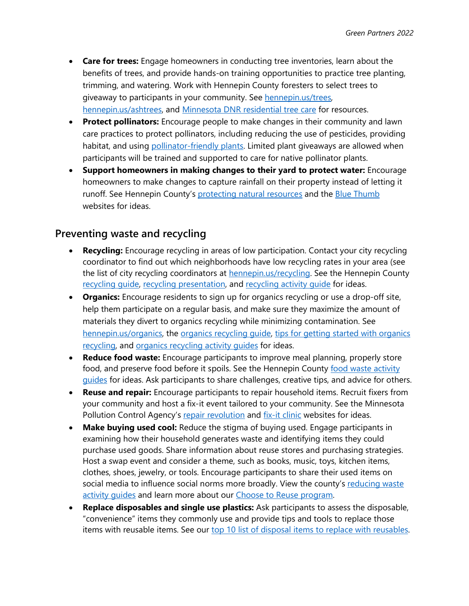- **Care for trees:** Engage homeowners in conducting tree inventories, learn about the benefits of trees, and provide hands-on training opportunities to practice tree planting, trimming, and watering. Work with Hennepin County foresters to select trees to giveaway to participants in your community. See [hennepin.us/trees,](http://www.hennepin.us/trees) [hennepin.us/ashtrees,](http://www.hennepin.us/ashtrees) and [Minnesota DNR residential tree care](https://www.dnr.state.mn.us/treecare/residential.html) for resources.
- **Protect pollinators:** Encourage people to make changes in their community and lawn care practices to protect pollinators, including reducing the use of pesticides, providing habitat, and using [pollinator-friendly plants.](https://www.dnr.state.mn.us/pollinator_resources/index.html) Limited plant giveaways are allowed when participants will be trained and supported to care for native pollinator plants.
- **Support homeowners in making changes to their yard to protect water:** Encourage homeowners to make changes to capture rainfall on their property instead of letting it runoff. See Hennepin County's [protecting natural resources](https://www.hennepin.us/residents/conservation/protecting-natural-resources) and the [Blue Thumb](https://bluethumb.org/) websites for ideas.

## **Preventing waste and recycling**

- **Recycling:** Encourage recycling in areas of low participation. Contact your city recycling coordinator to find out which neighborhoods have low recycling rates in your area (see the list of city recycling coordinators at **hennepin.us/recycling**. See the Hennepin County recycling quide, [recycling presentation,](https://www.hennepin.us/-/media/hennepinus/business/work-with-hennepin-county/environmental-education-kits/Recycling-PRESENTATION.pdf) and recycling activity quide for ideas.
- **Organics:** Encourage residents to sign up for organics recycling or use a drop-off site, help them participate on a regular basis, and make sure they maximize the amount of materials they divert to organics recycling while minimizing contamination. See [hennepin.us/organics,](http://www.hennepin.us/organics) the [organics recycling guide,](https://www.hennepin.us/-/media/hennepinus/residents/recycling/documents/residential-organics-recycling-guide.pdf) [tips for getting started with organics](https://www.hennepin.us/-/media/hennepinus/business/work-with-hennepin-county/environmental-education-activities/what-is-organics-recycling.pdf)  [recycling,](https://www.hennepin.us/-/media/hennepinus/business/work-with-hennepin-county/environmental-education-activities/what-is-organics-recycling.pdf) and [organics recycling activity guides](https://www.hennepin.us/-/media/hennepinus/business/work-with-hennepin-county/environmental-education-activities/OrganicsRecycling-Activity-Guides.pdf) for ideas.
- **Reduce food waste:** Encourage participants to improve meal planning, properly store food, and preserve food before it spoils. See the Hennepin County food waste activity [guides](https://www.hennepin.us/-/media/hennepinus/business/work-with-hennepin-county/environmental-education/reducing-food-waste.pdf?la=en) for ideas. Ask participants to share challenges, creative tips, and advice for others.
- **Reuse and repair:** Encourage participants to repair household items. Recruit fixers from your community and host a fix-it event tailored to your community. See the Minnesota Pollution Control Agency's [repair revolution](https://www.pca.state.mn.us/repair-revolution) and [fix-it clinic](https://www.hennepin.us/residents/recycling-hazardous-waste/fix-it-clinics) websites for ideas.
- **Make buying used cool:** Reduce the stigma of buying used. Engage participants in examining how their household generates waste and identifying items they could purchase used goods. Share information about reuse stores and purchasing strategies. Host a swap event and consider a theme, such as books, music, toys, kitchen items, clothes, shoes, jewelry, or tools. Encourage participants to share their used items on social media to influence social norms more broadly. View the county's reducing waste activity quides and learn more about our [Choose to Reuse program.](https://www.hennepin.us/choose-to-reuse)
- **Replace disposables and single use plastics:** Ask participants to assess the disposable, "convenience" items they commonly use and provide tips and tools to replace those items with reusable items. See our [top 10 list of disposal items to replace with reusables.](https://www.hennepin.us/choose-to-reuse/tips/replace-with-reusables)